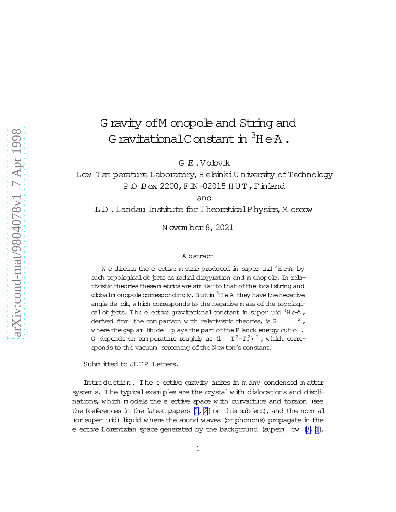## G ravity of M onopole and String and G ravitational C onstant in  $3H eA$ .

GE.Volovik

Low Temperature Laboratory, Helsinki University of Technology POBox 2200, FIN -02015 HUT, Finland

and

L.D. Landau Institute for TheoreticalPhysics, Moscow

N ovem ber 8, 2021

## A bstract

We discuss the e ective metric produced in super uid  $3H$  e-A by such topological objects as radial disgyration and monopole. In relativistic theories these metrics are similar to that of the local string and globalm onopole correspondingly. But in <sup>3</sup>H e-A they have the negative angle de cit, which corresponds to the negative m ass of the topological objects. The e ective gravitational constant in super uid  $3H eA$ , derived from the comparison with relativistic theories, is G where the gap am litude plays the part of the P lanck energy cut-o. G depends on temperature roughly as  $(1 \tT^2=T_c^2)^2$ , which corresponds to the vacuum screening of the New ton's constant.

Subm itted to JETP Letters.

Introduction. The e ective gravity arises in many condensed matter system s. The typical examples are the crystal with dislocations and disclinations, which models the e ective space with curvarture and torsion (see the References in the latest papers  $[1, 2]$  on this subject), and the norm all (or super uid) liquid where the sound waves (or phonons) propagate in the e ective Lorentzian space generated by the background (super) ow  $\beta$ , 4].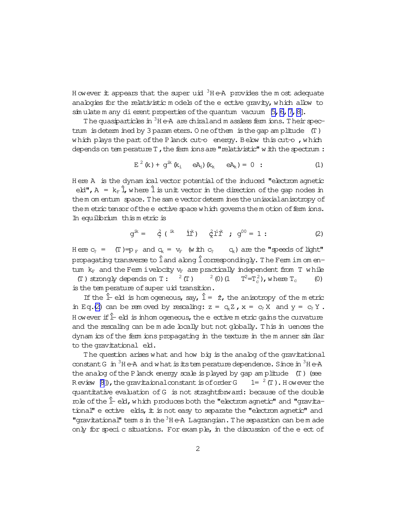<span id="page-1-0"></span>However it appears that the super uid  ${}^{3}$ He-A provides the most adequate analogies for the relativistic models of the e ective gravity, which allow to  $\sin$  ulate m any dierent properties of the quantum vacuum  $[5, 6, 7, 8]$ .

The quasiparticles in  ${}^{3}$ H e-A are chiral and m assless ferm ions. Their spectrum is determined by 3 parameters. One of them is the gap amplitude  $(T)$ which plays the part of the Planck cut-o energy. Below this cut-o, which depends on tem perature T, the ferm ions are "relativistic" with the spectrum:

$$
E^2(k) + g^{ik}(k_i \quad eA_i)(k_k \quad eA_k) = 0
$$
 : (1)

Here A is the dynamical vector potential of the induced "electrom agnetic eld",  $A = k_F \hat{I}$ , where  $\hat{I}$  is unit vector in the direction of the gap nodes in them omentum space. The same vector determines the uniaxial anisotropy of them etric tensor of the e ective space which governs them otion of ferm ions. In equilibrium this metric is

$$
g^{ik} = \dot{\zeta} (i^{ik} i^{ik}) \hat{x}^{i} + g^{00} = 1: \qquad (2)
$$

Here  $c_2 = (T) = p_F$  and  $q_k = v_F$  (with  $c_2$  $c_k$ ) are the "speeds of light" propagating transverse to  $\hat{1}$  and along  $\hat{1}$  correspondingly. The Ferm im om entum  $k_F$  and the Ferm ivelocity  $v_F$  are practically independent from T while (T) strongly depends on T:  ${}^{2}$  (T)  ${}^{2}$  (0) (1  $T^2=T_c^2$ , where  $T_c$  $(0)$ is the temperature of super uid transition.

If the  $\hat{L}$  eld is hom ogeneous, say,  $\hat{L} = 2$ , the anisotropy of the metric in Eq.(2) can be removed by rescaling:  $z = q_c Z$ ,  $x = c_c X$  and  $y = c_c Y$ . H owever if  $\hat{\mathbb{L}}$  eld is inhomogeneous, the e ective metric gains the curvature and the rescaling can be m ade locally but not globally. This in uences the dynam ics of the ferm ions propagating in the texture in the manner sim ilar to the gravitational eld.

The question arises what and how big is the analog of the gravitational constant G in  ${}^{3}$ H e-A and what is its tem perature dependence. Since in  ${}^{3}$ H e-A the analog of the P lanck energy scale is played by gap amplitude  $(T)$  (see Review [8]), the gravitaional constant is of order G  $= 1 = \frac{2}{\pi}$ . However the quantitative evaluation of G is not straghtforward: because of the double  $m$  be of the  $\hat{I}$ -eld, which produces both the "electrom agnetic" and "gravitational" e ective elds, it is not easy to separate the "electrom agnetic" and "gravitational" tem s in the <sup>3</sup>H e-A Lagrangian. The separation can bem ade only for specic situations. For example, in the discussion of the e ect of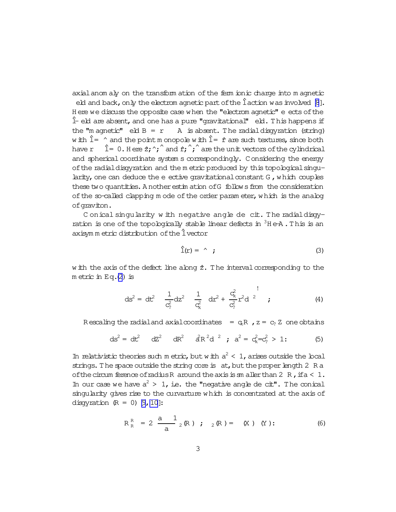axial anom aly on the transform ation of the ferm ionic charge into m agnetic eld and back, only the electrom agnetic part of the  $\hat{I}$  action was involved  $[8]$ . H ere we discuss the opposite case when the "electrom agnetic" e ects of the  $\hat{L}$  eld are absent, and one has a pure "gravitational" eld. This happens if the "m agnetic"  $e$ ld  $B = r$  A is absent. The radial disgyration (string) with  $\hat{l}$  =  $\hat{ }$  and the point m onopole with  $\hat{l}$  =  $\hat{r}$  are such textures, since both have  $r = \hat{1} = 0$ . Here  $\hat{z}$ ;  $\hat{r}$  and  $\hat{r}$ ;  $\hat{r}$  are the unit vectors of the cylindrical and spherical coordinate system s correspondingly. Considering the energy ofthe radialdisgyration and the m etric produced by this topologicalsingularity, one can deduce the  $e$  ective gravitational constant  $G$ , which couples these two quantities. A nother estim ation of G follows from the consideration of the so-called clapping m ode of the order param eter, which is the analog ofgraviton.

C onical singularity w ith negative angle de cit. The radial disgyration is one of the topologically stable linear defects in  $3H$  e-A. This is an axisym m etric distribution ofthe^lvector

$$
\hat{\mathbb{I}}(\mathbf{r}) = \hat{\mathbf{r}} \tag{3}
$$

w ith the axis of the defect line along  $\hat{z}$ . The interval corresponding to the m etric in Eq. $(2)$  $(2)$  is

$$
ds^{2} = dt^{2} \frac{1}{c_{1}^{2}} dz^{2} \frac{1}{c_{k}^{2}} dr^{2} + \frac{c_{k}^{2}}{c_{2}^{2}} r^{2} d^{2}; \qquad (4)
$$

R escaling the radial and axial coordinates =  $qR$ ,  $z = c_2 Z$  one obtains

$$
ds^{2} = dt^{2} \quad dZ^{2} \quad dR^{2} \quad \hat{d}R^{2}d^{2} \quad \hat{i} \quad a^{2} = c_{k}^{2} = c_{2}^{2} > 1: \tag{5}
$$

In relativistic theories such m etric, but with  $a^2 < 1$ , arises outside the local strings. The space outside the string core is at, but the proper length 2 R a of the circum ference of radius R around the axis is sm aller than 2 R, if  $a < 1$ . In our case we have  $a^2 > 1$ , i.e. the "negative angle de cit". The conical singularity gives rise to the curvarture which is concentrated at the axis of disgyration  $(R = 0)$  [9, 10]:

$$
R_R^R = 2 \frac{a}{a} \frac{1}{2} (R) ; \quad {}_2(R) = (X) (Y) : .
$$
 (6)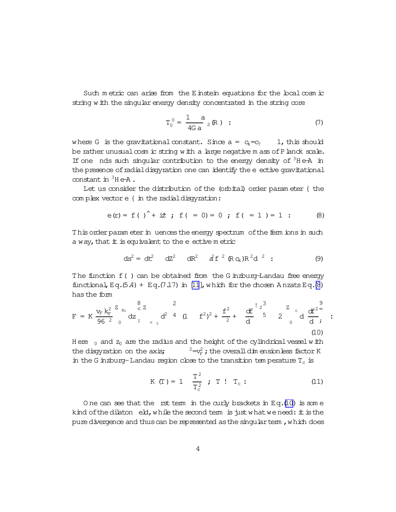<span id="page-3-0"></span>Such metric can arise from the Einstein equations for the local cosm ic string with the singular energy density concentrated in the string core

$$
T_0^0 = \frac{1}{4G a} \frac{a}{2} (R) : \t\t(7)
$$

where G is the gravitational constant. Since  $a = c_k = c_2$  1, this should be rather unusual cosm ic string with a large negative m ass of P lanck scale. If one nds such singular contribution to the energy density of  $3H$  e-A in the presence of radial disgyration one can identify the e ective gravitational constant in  ${}^{3}$ He-A.

Let us consider the distribution of the (orbital) order parameter { the complex vector e { in the radial disgyration:

$$
e(r) = f()
$$
<sup>^</sup> +  $\dot{x}$ ;  $f( = 0) = 0$ ;  $f( = 1) = 1$  : (8)

This order param eter in uences the energy spectrum of the ferm ions in such a way, that it is equivalent to the e ective metric

$$
ds^{2} = dt^{2} \quad dz^{2} \quad dR^{2} \quad \hat{d}f^{2} \left( R q_{k} R^{2} d^{2} \right): \tag{9}
$$

The function f () can be obtained from the G inzburg-Landau free energy functional, Eq.  $(5.4)$  + Eq.  $(7.17)$  in [11], which for the chosen Anzats Eq.  $(8)$ has the form

$$
F = K \frac{v_{F} k_{F}^{2}}{96^{2}} \frac{z_{z_{0}}}{0} dz_{t_{0}}^{8} dz_{t_{0}}^{2} d^{2} 4 (1 + f^{2})^{2} + \frac{f^{2}}{2} + \frac{df}{d} \frac{z_{0}}{5}^{3} 2 \frac{z_{0}}{0} d \frac{df^{2}}{d} ;
$$
 (10)

Here  $_0$  and  $z_0$  are the radius and the height of the cylindrical vessel with  $e^2 = v_{\rm F}^2$ ; the overall dim ensionless factor K the disgyration on the axis; in the G inzburg-Landau region close to the transition temperature  $T_c$  is

$$
K(T) = 1
$$
  $\frac{T^2}{T_c^2}$ ;  $T$  !  $T_c$ : (11)

One can see that the rst term in the curly brackets in  $Eq.(10)$  is some kind of the dilaton eld, while the second term is just what we need: it is the pure divergence and thus can be represented as the singular term, which does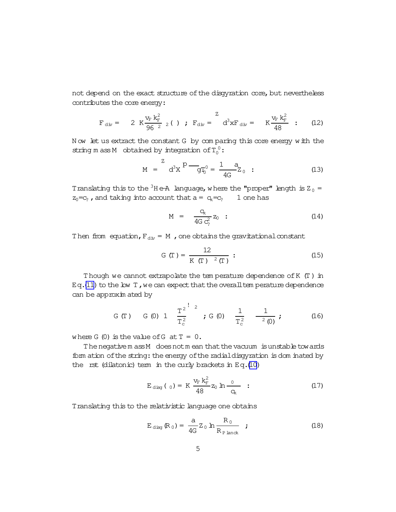<span id="page-4-0"></span>not depend on the exact structure of the disgyration core, but nevertheless contributes the core energy:

$$
F_{\text{div}} = 2 K \frac{v_F k_F^2}{96^2} (1) ; F_{\text{div}} = \frac{Z}{d^3 x F_{\text{div}}} = K \frac{v_F k_F^2}{48} ;
$$
 (12)

N ow let us extract the constant G by com paring this core energy with the string m ass M obtained by integration of  $T_0^0$ :

$$
M = \n\begin{bmatrix}\n2 & 2 \\
3 & 2\n\end{bmatrix}\n\begin{bmatrix}\n0 & -1 & 2 \\
-9 & 4 & 2\n\end{bmatrix}\n\begin{bmatrix}\n1 & 2 & 2 \\
4 & 2 & 0\n\end{bmatrix} \n\begin{bmatrix}\n1 & 2 & 2 \\
1 & 2 & 2\n\end{bmatrix} \n\begin{bmatrix}\n1 & 2 & 2 \\
-1 & 2 & 2\n\end{bmatrix} \n\begin{bmatrix}\n1 & 2 & 2 \\
-1 & 2 & 2\n\end{bmatrix} \n\begin{bmatrix}\n1 & 2 & 2 \\
-1 & 2 & 2\n\end{bmatrix} \n\begin{bmatrix}\n1 & 2 & 2 \\
-1 & 2 & 2\n\end{bmatrix} \n\begin{bmatrix}\n1 & 2 & 2 \\
-1 & 2 & 2\n\end{bmatrix} \n\begin{bmatrix}\n1 & 2 & 2 \\
-1 & 2 & 2\n\end{bmatrix} \n\begin{bmatrix}\n1 & 2 & 2 \\
-1 & 2 & 2\n\end{bmatrix} \n\begin{bmatrix}\n1 & 2 & 2 \\
-1 & 2 & 2\n\end{bmatrix} \n\begin{bmatrix}\n1 & 2 & 2 \\
-1 & 2 & 2\n\end{bmatrix} \n\begin{bmatrix}\n1 & 2 & 2 \\
-1 & 2 & 2\n\end{bmatrix} \n\begin{bmatrix}\n1 & 2 & 2 \\
-1 & 2 & 2\n\end{bmatrix} \n\begin{bmatrix}\n1 & 2 & 2 \\
-1 & 2 & 2\n\end{bmatrix} \n\begin{bmatrix}\n1 & 2 & 2 \\
-1 & 2 & 2\n\end{bmatrix} \n\begin{bmatrix}\n1 & 2 & 2 \\
-1 & 2 & 2\n\end{bmatrix} \n\begin{bmatrix}\n1 & 2 & 2 \\
-1 & 2 & 2\n\end{bmatrix} \n\begin{bmatrix}\n1 &
$$

Translating this to the <sup>3</sup>H e-A language, where the "proper" length is  $Z_0 =$  $z_0 = c$ , and taking into account that  $a = c_k = c$ , 1 one has

$$
M = \frac{Q_{k}}{4G c_{2}^{2}} z_{0} \quad ; \tag{14}
$$

Then from equation,  $F_{\text{div}} = M$ , one obtains the gravitational constant

$$
G(T) = \frac{12}{K(T)^{-2}(T)}: \tag{15}
$$

Though we cannot extrapolate the tem perature dependence ofK (T) in Eq.[\(11\)](#page-3-0) to the low  $T$ , we can expect that the overall tem perature dependence can be approxim ated by

G (T) G (0) 1 
$$
\frac{T^2}{T_c^2}
$$
 ; G (0)  $\frac{1}{T_c^2}$   $\frac{1}{2(0)}$ ; (16)

where G  $(0)$  is the value of G at  $T = 0$ .

The negativem ass M does not mean that the vacuum is unstable towards form ation of the string: the energy of the radial disgyration is dom inated by the rst (dilatonic) term in the curly brackets in Eq.[\(10\)](#page-3-0)

$$
E_{\text{diag}}(0) = K \frac{v_{F} k_{F}^{2}}{48} z_{0} \ln \frac{0}{q_{k}} \quad (17)
$$

Translating this to the relativistic language one obtains

$$
E_{\text{disp}}(R_0) = \frac{a}{4G} Z_0 \ln \frac{R_0}{R_{\text{Planck}}}
$$
 ; (18)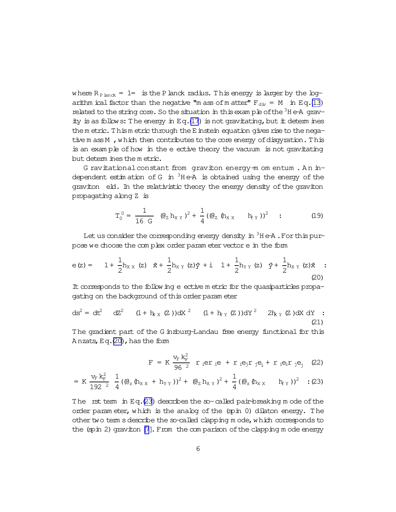<span id="page-5-0"></span>where  $R_{\text{Planck}} = 1$  = is the P lanck radius. This energy is larger by the logarithm ical factor than the negative "m ass of m atter"  $F_{div} = M$  in Eq.(13) related to the string core. So the situation in this example of the  ${}^{3}H$  e-A gravity is as follows: The energy in  $Eq.(17)$  is not gravitating, but it determines them etric. Thism etric through the E instein equation gives rise to the negative m ass M, which then contributes to the core energy of disgyration. This is an example of how in the e ective theory the vacuum is not gravitating but determ ines the metric.

G ravitational constant from graviton energy-m om entum. An independent estimation of G in  ${}^{3}$ He-A is obtained using the energy of the graviton eld. In the relativistic theory the energy density of the graviton propagating along Z is

$$
T_0^0 = \frac{1}{16 \text{ G}} (Q_Z h_{XY})^2 + \frac{1}{4} ((Q_Z h_{XX} h_{YY}))^2 ; \qquad (19)
$$

Let us consider the corresponding energy density in  ${}^{3}$ H e-A. For this purpose we choose the complex order parameter vector e in the form

$$
e(z) = 1 + \frac{1}{2}h_{X X} (z) \hat{x} + \frac{1}{2}h_{X Y} (z)\hat{y} + i \hat{1} + \frac{1}{2}h_{Y Y} (z) \hat{y} + \frac{1}{2}h_{X Y} (z)\hat{x} ; \tag{20}
$$

It corresponds to the follow ing e ective m etric for the quasiparticles propagating on the background of this order parameter

$$
ds^{2} = dt^{2} \quad dz^{2} \quad (1 + h_{K X} (Z))dx^{2} \quad (1 + h_{Y Y} (Z))dx^{2} \quad 2h_{K Y} (Z)dx dy
$$
 (21)

The gradient part of the G inzburg-Landau free energy functional for this Anzats, Eq.(20), has the fom

$$
F = K \frac{v_{F} k_{F}^{2}}{96^{2}} r_{i} er_{i}e + r_{i} e_{j} r_{j} e_{i} + r_{i} e_{i} r_{j} e_{j} \quad (22)
$$

$$
= K \frac{v_{F} k_{F}^{2}}{192^{2}} \frac{1}{4} ((\theta_{z} (\theta_{X X} + h_{Y Y}))^{2} + (\theta_{Z} h_{X Y})^{2} + \frac{1}{4} ((\theta_{z} (\theta_{X X} - h_{Y Y}))^{2} : (23)
$$

The rst term in Eq.(23) describes the so-called pair-breaking mode of the order parameter, which is the analog of the (spin 0) dilaton energy. The other two term s describe the so-called clapping mode, which corresponds to the  $(spin 2)$  graviton  $[7]$ . From the comparison of the clapping mode energy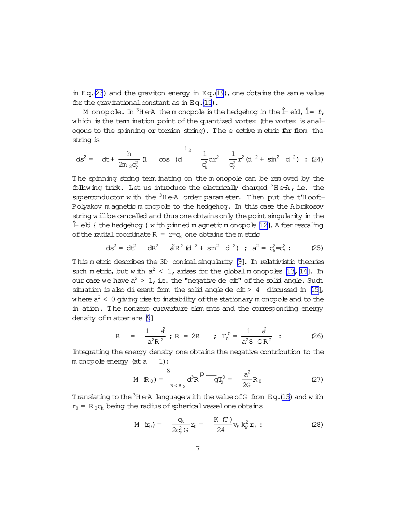in Eq.[\(23](#page-5-0)) and the graviton energy in Eq.[\(19\)](#page-5-0), one obtains the same value for the gravitational constant as in Eq.[\(15](#page-4-0)).

M onopole. In <sup>3</sup>He-A the m onopole is the hedgehog in the  $\hat{I}-eI$ ,  $\hat{I} = \hat{r}$ , which is the term ination point of the quantized vortex (the vortex is analogous to the spinning or torsion string). The eective m etric far from the string is

$$
ds^{2} = dt + \frac{h}{2m_{3}c_{2}^{2}} (1 \cos t)d + \frac{1}{c_{k}^{2}} dr^{2} + \frac{1}{c_{2}^{2}} r^{2} (d^{2} + sin^{2} d^{2})
$$
 (24)

The spinning string term inating on the m onopole can be rem oved by the following trick. Let us introduce the electrically charged  ${}^{3}$ He-A, i.e. the superconductor with the  ${}^{3}$ H e-A order param eter. Then put the t'H ooft-Polyakov m agnetic m onopole to the hedgehog. In this case the A brikosov string will be cancelled and thus one obtains only the point singularity in the  $\hat{\mathbb{L}}$  eld { the hedgehog { with pinned m agnetic m onopole [\[12\]](#page-8-0). A fter rescaling of the radial coordinate  $R = r = c_k$  one obtains the m etric

$$
ds^{2} = dt^{2} \quad dR^{2} \quad \hat{d}R^{2} \left( d^{2} + \sin^{2} d^{2} \right) ; \quad a^{2} = c_{k}^{2} = c_{2}^{2} ; \tag{25}
$$

This m etric describes the 3D conicalsingularity [\[9](#page-8-0)]. In relativistic theories such m etric, but with  $a^2 < 1$ , arises for the globalm onopoles [13, 14]. In our case we have  $a^2 > 1$ , i.e. the "negative de cit" of the solid angle. Such situation is also dierent from the solid angle de  $ct > 4$  discussed in [\[15\]](#page-8-0), where  $a^2 < 0$  giving rise to instability of the stationary  ${\mathfrak m}$  onopole and to the in ation. The nonzero curvarture elements and the corresponding energy density of m atter are [\[9](#page-8-0)]

$$
R = \frac{1}{a^2 R^2} \; ; \; R = 2R \; ; \; T_0^0 = \frac{1}{a^2 8 \; G R^2} \; : \; (26)
$$

Integrating the energy density one obtains the negative contribution to the m onopole energy (at a 1):

$$
M (R_0) = \sum_{R < R_0}^{Z} d^3 R \frac{P - q_0}{q_0} = \frac{a^2}{2G} R_0
$$
 (27)

Translating to the  $3H$  e-A language with the value of G from Eq.[\(15\)](#page-4-0) and with  $r_0 = R_0 c_k$  being the radius of spherical vessel one obtains

M 
$$
(r_0)
$$
 =  $\frac{Q_k}{2c_2^2 G} r_0 = \frac{K (T)}{24} v_F k_F^2 r_0$  : (28)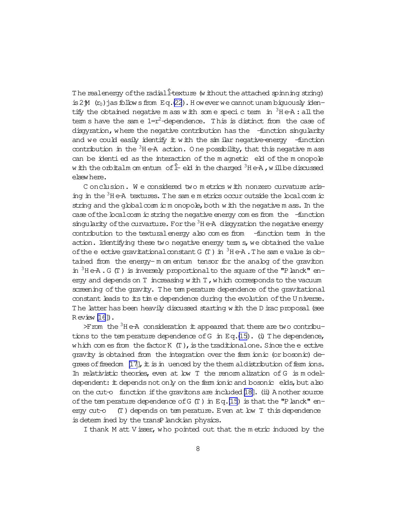The realenergy of the radial frexture (without the attached spinning string) is 2 $\mathcal{M}$  ( $r_0$ ) jas follows from Eq.[\(22](#page-5-0)). H oweverwe cannot unam biguously identify the obtained negative m ass with some speciculation in  $3H + A$ : all the term s have the same  $1=r^2$ -dependence. This is distinct from the case of disgyration, where the negative contribution has the -function singularity and we could easily identify it with the sim ilar negative-energy -function contribution in the  ${}^{3}$ H e-A action. O ne possibility, that this negative m ass can be identied as the interaction of the m agnetic eld of the m onopole w ith the orbitalm om entum of  $\hat{L}$  eld in the charged  $^3H$  e-A , will be discussed elsewhere.

C onclusion. We considered two metrics with nonzero curvature arising in the  $3H$  e-A textures. The same m etrics occur outside the local cosm ic string and the global  $\infty$ sm ic m onopole, both with the negative m ass. In the case of the localcosm ic string the negative energy com es from the -function singularity of the curvarture. For the  $3H$  e-A disgyration the negative energy contribution to the texturalenergy also com es from -function term in the action. Identifying these two negative energy term s, we obtained the value of the eective gravitational constant G  $(T)$  in  ${}^{3}$ H e $A$ . The same value is obtained from the energy- m om entum tensor for the analog of the graviton in  ${}^{3}$ H e $\overline{A}$ . G (T) is inversely proportional to the square of the "P lanck" energy and depends on  $T$  increasing with  $T$ , which corresponds to the vacuum screening of the gravity. The tem perature dependence of the gravitational constant leads to its time dependence during the evolution of the Universe. The latter has been heavily discussed starting with the D irac proposal (see R eview [\[16](#page-9-0)]).

 $\angle$ From the  $3H$  e-A consideration it appeared that there are two contributions to the tem perature dependence of G in  $Eq.(15)$  $Eq.(15)$ . (i) The dependence, which com es from the factor  $K(T)$ , is the traditionalone. Since the eective gravity is obtained from the integration over the ferm ionic (or bosonic) degrees of freedom  $[17]$ , it is in uenced by the therm aldistribution of ferm ions. In relativistic theories, even at low T the renorm alization of G is modeldependent:  $\pm$  depends not only on the ferm ionic and bosonic elds, but also on the cut-o function if the gravitons are included  $[18]$ . (ii) A nother source of the tem perature dependence of  $G(T)$  in Eq.[\(15](#page-4-0)) is that the "P lanck" energy cut-o (T) depends on tem perature. Even at low T this dependence is determ ined by the transP lanckian physics.

I thank M att V isser, who pointed out that the metric induced by the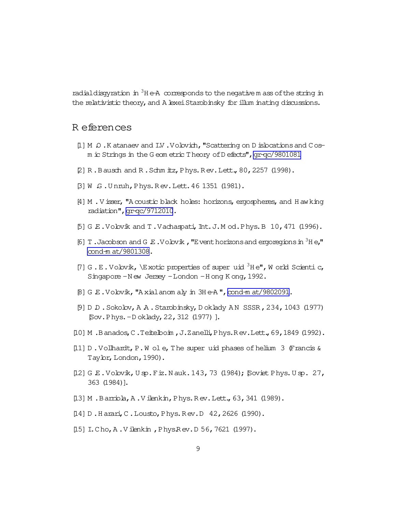<span id="page-8-0"></span>radial disquation in  ${}^{3}$ H e-A corresponds to the negative m ass of the string in the relativistic theory, and A lexei Starobinsky for illum inating discussions.

## R eferences

- [1] M Q . K atanaev and I.V . Volovich, "Scattering on D islocations and Cosm ic Strings in the G eom etric T heory of D efects", gr-qc/9801081
- [2] R.Bausch and R.Schm itz, Phys.Rev.Lett., 80, 2257 (1998).
- [3] W G.Unnuh, Phys. Rev. Lett. 46 1351 (1981).
- [4] M. V isser, "A coustic black holes: horizons, ergospheres, and H aw king radiation", gr-qc/9712010.
- $[5]$  G E. Volovik and T. Vachaspati, Int. J. M od. Phys. B 10, 471 (1996).
- [6] T. Jacobson and G.E. Volovik, "Event horizons and ergoregions in  ${}^{3}$ He," cond-m at/9801308.
- [7] G.E.Volovik, \Exotic properties of super uid  ${}^{3}$ He", W orld Scientic, Singapore - New Jersey - London - Hong Kong, 1992.
- [8] G.E.Volovik, "Axial anom aly in 3He-A", cond-m at/9802091.
- [9] D D . Sokolov, A A . Starobinsky, D oklady AN SSSR, 234, 1043 (1977) [Sov. Phys. - Doklady, 22, 312 (1977)].
- [10] M.Banados, C.Teitelboin, J.Zanelli, Phys.Rev.Lett., 69, 1849 (1992).
- [11] D. Vollhardt, P. W ol e, The super uid phases of helium 3 (Francis & Taylor, London, 1990).
- [12] G E. Volovik, U sp. Fiz. N auk. 143, 73 (1984); Soviet Phys. U sp. 27, 363 (1984)].
- [13] M.Barriola, A.Vilenkin, Phys.Rev.Lett., 63, 341 (1989).
- [14] D.Harari, C.Lousto, Phys.Rev.D 42, 2626 (1990).
- [15] I.Cho, A.Vilenkin, PhysRev.D 56, 7621 (1997).